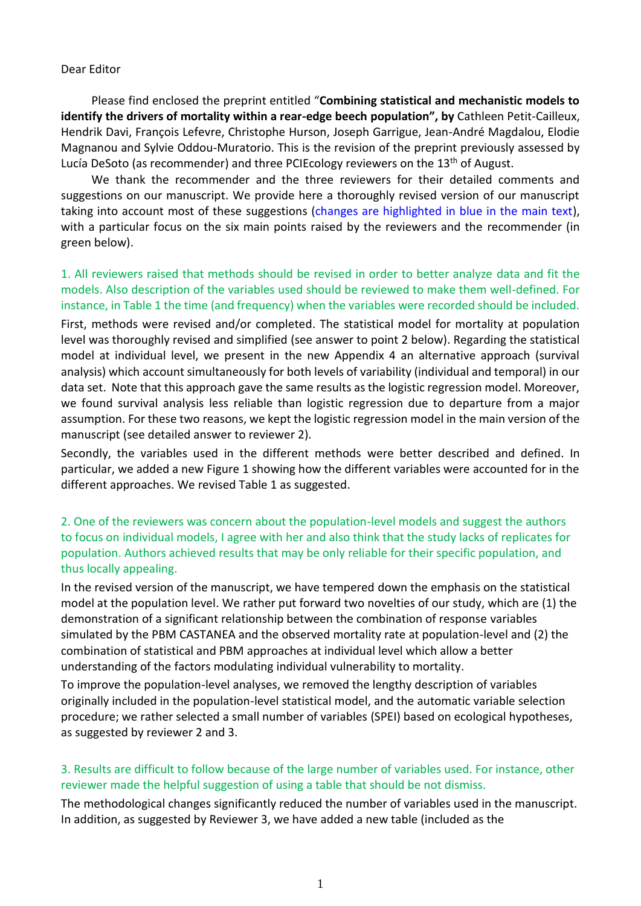#### Dear Editor

Please find enclosed the preprint entitled "**Combining statistical and mechanistic models to identify the drivers of mortality within a rear-edge beech population", by** Cathleen Petit-Cailleux, Hendrik Davi, François Lefevre, Christophe Hurson, Joseph Garrigue, Jean-André Magdalou, Elodie Magnanou and Sylvie Oddou-Muratorio. This is the revision of the preprint previously assessed by Lucía DeSoto (as recommender) and three PCIEcology reviewers on the 13<sup>th</sup> of August.

We thank the recommender and the three reviewers for their detailed comments and suggestions on our manuscript. We provide here a thoroughly revised version of our manuscript taking into account most of these suggestions (changes are highlighted in blue in the main text), with a particular focus on the six main points raised by the reviewers and the recommender (in green below).

# 1. All reviewers raised that methods should be revised in order to better analyze data and fit the models. Also description of the variables used should be reviewed to make them well-defined. For instance, in Table 1 the time (and frequency) when the variables were recorded should be included.

First, methods were revised and/or completed. The statistical model for mortality at population level was thoroughly revised and simplified (see answer to point 2 below). Regarding the statistical model at individual level, we present in the new Appendix 4 an alternative approach (survival analysis) which account simultaneously for both levels of variability (individual and temporal) in our data set. Note that this approach gave the same results as the logistic regression model. Moreover, we found survival analysis less reliable than logistic regression due to departure from a major assumption. For these two reasons, we kept the logistic regression model in the main version of the manuscript (see detailed answer to reviewer 2).

Secondly, the variables used in the different methods were better described and defined. In particular, we added a new Figure 1 showing how the different variables were accounted for in the different approaches. We revised Table 1 as suggested.

# 2. One of the reviewers was concern about the population-level models and suggest the authors to focus on individual models, I agree with her and also think that the study lacks of replicates for population. Authors achieved results that may be only reliable for their specific population, and thus locally appealing.

In the revised version of the manuscript, we have tempered down the emphasis on the statistical model at the population level. We rather put forward two novelties of our study, which are (1) the demonstration of a significant relationship between the combination of response variables simulated by the PBM CASTANEA and the observed mortality rate at population-level and (2) the combination of statistical and PBM approaches at individual level which allow a better understanding of the factors modulating individual vulnerability to mortality.

To improve the population-level analyses, we removed the lengthy description of variables originally included in the population-level statistical model, and the automatic variable selection procedure; we rather selected a small number of variables (SPEI) based on ecological hypotheses, as suggested by reviewer 2 and 3.

# 3. Results are difficult to follow because of the large number of variables used. For instance, other reviewer made the helpful suggestion of using a table that should be not dismiss.

The methodological changes significantly reduced the number of variables used in the manuscript. In addition, as suggested by Reviewer 3, we have added a new table (included as the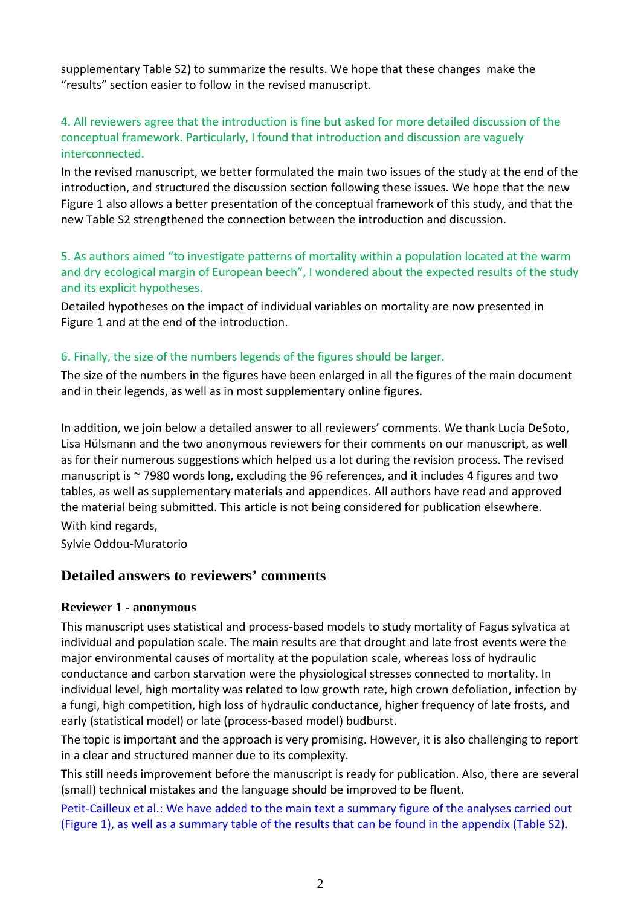supplementary Table S2) to summarize the results. We hope that these changes make the "results" section easier to follow in the revised manuscript.

# 4. All reviewers agree that the introduction is fine but asked for more detailed discussion of the conceptual framework. Particularly, I found that introduction and discussion are vaguely interconnected.

In the revised manuscript, we better formulated the main two issues of the study at the end of the introduction, and structured the discussion section following these issues. We hope that the new Figure 1 also allows a better presentation of the conceptual framework of this study, and that the new Table S2 strengthened the connection between the introduction and discussion.

5. As authors aimed "to investigate patterns of mortality within a population located at the warm and dry ecological margin of European beech", I wondered about the expected results of the study and its explicit hypotheses.

Detailed hypotheses on the impact of individual variables on mortality are now presented in Figure 1 and at the end of the introduction.

#### 6. Finally, the size of the numbers legends of the figures should be larger.

The size of the numbers in the figures have been enlarged in all the figures of the main document and in their legends, as well as in most supplementary online figures.

In addition, we join below a detailed answer to all reviewers' comments. We thank Lucía DeSoto, Lisa Hülsmann and the two anonymous reviewers for their comments on our manuscript, as well as for their numerous suggestions which helped us a lot during the revision process. The revised manuscript is ~7980 words long, excluding the 96 references, and it includes 4 figures and two tables, as well as supplementary materials and appendices. All authors have read and approved the material being submitted. This article is not being considered for publication elsewhere. With kind regards,

Sylvie Oddou-Muratorio

# **Detailed answers to reviewers' comments**

#### **Reviewer 1 - anonymous**

This manuscript uses statistical and process-based models to study mortality of Fagus sylvatica at individual and population scale. The main results are that drought and late frost events were the major environmental causes of mortality at the population scale, whereas loss of hydraulic conductance and carbon starvation were the physiological stresses connected to mortality. In individual level, high mortality was related to low growth rate, high crown defoliation, infection by a fungi, high competition, high loss of hydraulic conductance, higher frequency of late frosts, and early (statistical model) or late (process-based model) budburst.

The topic is important and the approach is very promising. However, it is also challenging to report in a clear and structured manner due to its complexity.

This still needs improvement before the manuscript is ready for publication. Also, there are several (small) technical mistakes and the language should be improved to be fluent.

Petit-Cailleux et al.: We have added to the main text a summary figure of the analyses carried out (Figure 1), as well as a summary table of the results that can be found in the appendix (Table S2).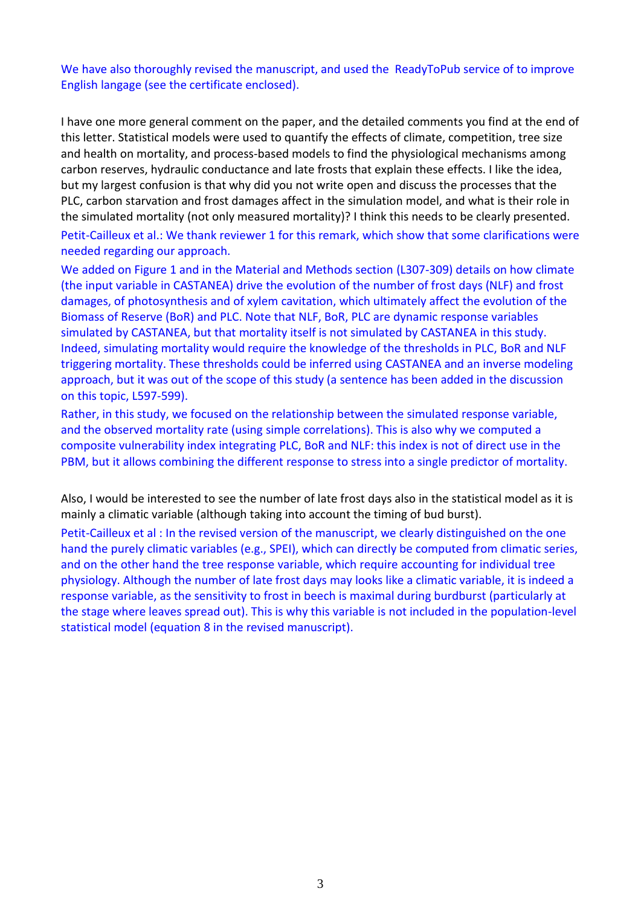# We have also thoroughly revised the manuscript, and used the ReadyToPub service of to improve English langage (see the certificate enclosed).

I have one more general comment on the paper, and the detailed comments you find at the end of this letter. Statistical models were used to quantify the effects of climate, competition, tree size and health on mortality, and process-based models to find the physiological mechanisms among carbon reserves, hydraulic conductance and late frosts that explain these effects. I like the idea, but my largest confusion is that why did you not write open and discuss the processes that the PLC, carbon starvation and frost damages affect in the simulation model, and what is their role in the simulated mortality (not only measured mortality)? I think this needs to be clearly presented. Petit-Cailleux et al.: We thank reviewer 1 for this remark, which show that some clarifications were needed regarding our approach.

We added on Figure 1 and in the Material and Methods section (L307-309) details on how climate (the input variable in CASTANEA) drive the evolution of the number of frost days (NLF) and frost damages, of photosynthesis and of xylem cavitation, which ultimately affect the evolution of the Biomass of Reserve (BoR) and PLC. Note that NLF, BoR, PLC are dynamic response variables simulated by CASTANEA, but that mortality itself is not simulated by CASTANEA in this study. Indeed, simulating mortality would require the knowledge of the thresholds in PLC, BoR and NLF triggering mortality. These thresholds could be inferred using CASTANEA and an inverse modeling approach, but it was out of the scope of this study (a sentence has been added in the discussion on this topic, L597-599).

Rather, in this study, we focused on the relationship between the simulated response variable, and the observed mortality rate (using simple correlations). This is also why we computed a composite vulnerability index integrating PLC, BoR and NLF: this index is not of direct use in the PBM, but it allows combining the different response to stress into a single predictor of mortality.

Also, I would be interested to see the number of late frost days also in the statistical model as it is mainly a climatic variable (although taking into account the timing of bud burst).

Petit-Cailleux et al : In the revised version of the manuscript, we clearly distinguished on the one hand the purely climatic variables (e.g., SPEI), which can directly be computed from climatic series, and on the other hand the tree response variable, which require accounting for individual tree physiology. Although the number of late frost days may looks like a climatic variable, it is indeed a response variable, as the sensitivity to frost in beech is maximal during burdburst (particularly at the stage where leaves spread out). This is why this variable is not included in the population-level statistical model (equation 8 in the revised manuscript).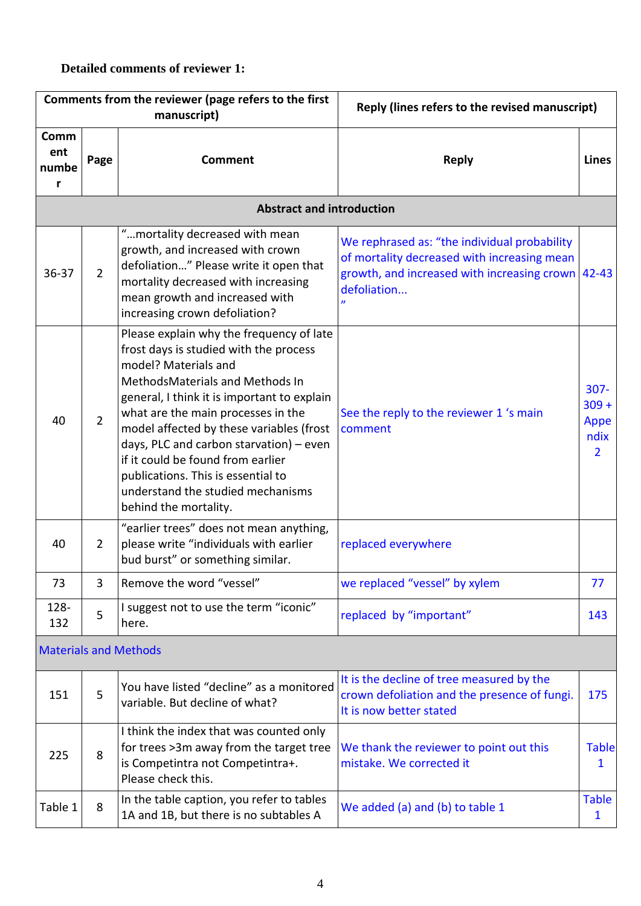# **Detailed comments of reviewer 1:**

|                           |                | Comments from the reviewer (page refers to the first<br>manuscript)                                                                                                                                                                                                                                                                                                                                                                                                | Reply (lines refers to the revised manuscript)                                                                                                                        |                                                      |
|---------------------------|----------------|--------------------------------------------------------------------------------------------------------------------------------------------------------------------------------------------------------------------------------------------------------------------------------------------------------------------------------------------------------------------------------------------------------------------------------------------------------------------|-----------------------------------------------------------------------------------------------------------------------------------------------------------------------|------------------------------------------------------|
| Comm<br>ent<br>numbe<br>r | Page           | <b>Comment</b>                                                                                                                                                                                                                                                                                                                                                                                                                                                     | <b>Reply</b>                                                                                                                                                          | <b>Lines</b>                                         |
|                           |                | <b>Abstract and introduction</b>                                                                                                                                                                                                                                                                                                                                                                                                                                   |                                                                                                                                                                       |                                                      |
| $36 - 37$                 | $\overline{2}$ | "mortality decreased with mean<br>growth, and increased with crown<br>defoliation" Please write it open that<br>mortality decreased with increasing<br>mean growth and increased with<br>increasing crown defoliation?                                                                                                                                                                                                                                             | We rephrased as: "the individual probability<br>of mortality decreased with increasing mean<br>growth, and increased with increasing crown 42-43<br>defoliation<br>'n |                                                      |
| 40                        | $\overline{2}$ | Please explain why the frequency of late<br>frost days is studied with the process<br>model? Materials and<br>MethodsMaterials and Methods In<br>general, I think it is important to explain<br>what are the main processes in the<br>model affected by these variables (frost<br>days, PLC and carbon starvation) - even<br>if it could be found from earlier<br>publications. This is essential to<br>understand the studied mechanisms<br>behind the mortality. | See the reply to the reviewer 1 's main<br>comment                                                                                                                    | $307 -$<br>$309 +$<br>Appe<br>ndix<br>$\overline{2}$ |
| 40                        | $\overline{2}$ | "earlier trees" does not mean anything,<br>please write "individuals with earlier<br>bud burst" or something similar.                                                                                                                                                                                                                                                                                                                                              | replaced everywhere                                                                                                                                                   |                                                      |
| 73                        | 3              | Remove the word "vessel"                                                                                                                                                                                                                                                                                                                                                                                                                                           | we replaced "vessel" by xylem                                                                                                                                         | 77                                                   |
| 128-<br>132               | 5              | I suggest not to use the term "iconic"<br>here.                                                                                                                                                                                                                                                                                                                                                                                                                    | replaced by "important"                                                                                                                                               | 143                                                  |
|                           |                | <b>Materials and Methods</b>                                                                                                                                                                                                                                                                                                                                                                                                                                       |                                                                                                                                                                       |                                                      |
| 151                       | 5              | You have listed "decline" as a monitored<br>variable. But decline of what?                                                                                                                                                                                                                                                                                                                                                                                         | It is the decline of tree measured by the<br>crown defoliation and the presence of fungi.<br>It is now better stated                                                  | 175                                                  |
| 225                       | 8              | I think the index that was counted only<br>for trees > 3m away from the target tree<br>is Competintra not Competintra+.<br>Please check this.                                                                                                                                                                                                                                                                                                                      | We thank the reviewer to point out this<br>mistake. We corrected it                                                                                                   | <b>Table</b><br>1                                    |
| Table 1                   | 8              | In the table caption, you refer to tables<br>1A and 1B, but there is no subtables A                                                                                                                                                                                                                                                                                                                                                                                | We added (a) and (b) to table 1                                                                                                                                       | <b>Table</b><br>1                                    |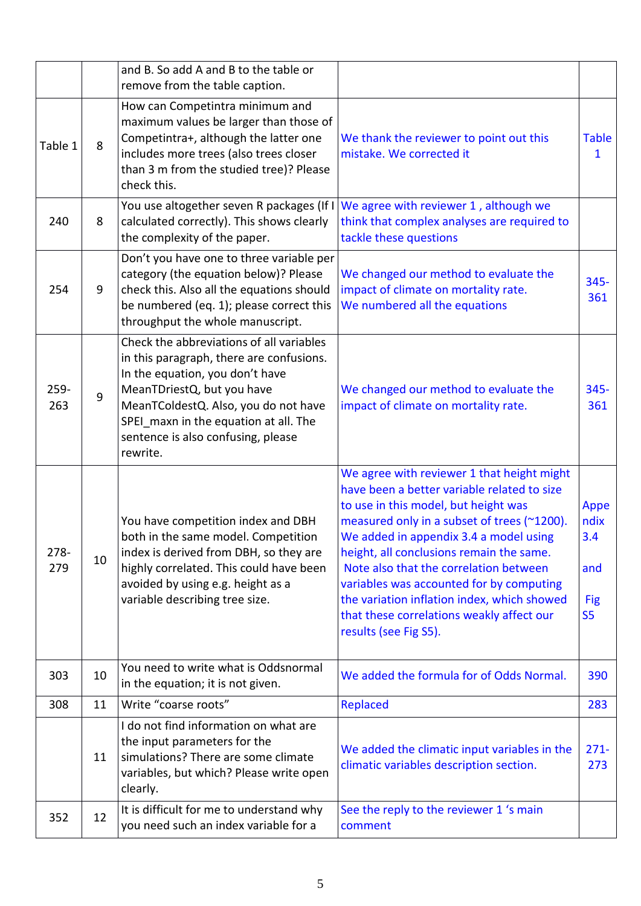|             |    | and B. So add A and B to the table or<br>remove from the table caption.                                                                                                                                                                                                                  |                                                                                                                                                                                                                                                                                                                                                                                                                                                                                   |                                                            |
|-------------|----|------------------------------------------------------------------------------------------------------------------------------------------------------------------------------------------------------------------------------------------------------------------------------------------|-----------------------------------------------------------------------------------------------------------------------------------------------------------------------------------------------------------------------------------------------------------------------------------------------------------------------------------------------------------------------------------------------------------------------------------------------------------------------------------|------------------------------------------------------------|
| Table 1     | 8  | How can Competintra minimum and<br>maximum values be larger than those of<br>Competintra+, although the latter one<br>includes more trees (also trees closer<br>than 3 m from the studied tree)? Please<br>check this.                                                                   | We thank the reviewer to point out this<br>mistake. We corrected it                                                                                                                                                                                                                                                                                                                                                                                                               | <b>Table</b><br>1                                          |
| 240         | 8  | You use altogether seven R packages (If I)<br>calculated correctly). This shows clearly<br>the complexity of the paper.                                                                                                                                                                  | We agree with reviewer 1, although we<br>think that complex analyses are required to<br>tackle these questions                                                                                                                                                                                                                                                                                                                                                                    |                                                            |
| 254         | 9  | Don't you have one to three variable per<br>category (the equation below)? Please<br>check this. Also all the equations should<br>be numbered (eq. 1); please correct this<br>throughput the whole manuscript.                                                                           | We changed our method to evaluate the<br>impact of climate on mortality rate.<br>We numbered all the equations                                                                                                                                                                                                                                                                                                                                                                    | $345 -$<br>361                                             |
| 259-<br>263 | 9  | Check the abbreviations of all variables<br>in this paragraph, there are confusions.<br>In the equation, you don't have<br>MeanTDriestQ, but you have<br>MeanTColdestQ. Also, you do not have<br>SPEI_maxn in the equation at all. The<br>sentence is also confusing, please<br>rewrite. | We changed our method to evaluate the<br>impact of climate on mortality rate.                                                                                                                                                                                                                                                                                                                                                                                                     | $345 -$<br>361                                             |
| 278-<br>279 | 10 | You have competition index and DBH<br>both in the same model. Competition<br>index is derived from DBH, so they are<br>highly correlated. This could have been<br>avoided by using e.g. height as a<br>variable describing tree size.                                                    | We agree with reviewer 1 that height might<br>have been a better variable related to size<br>to use in this model, but height was<br>measured only in a subset of trees (~1200).<br>We added in appendix 3.4 a model using<br>height, all conclusions remain the same.<br>Note also that the correlation between<br>variables was accounted for by computing<br>the variation inflation index, which showed<br>that these correlations weakly affect our<br>results (see Fig S5). | Appe<br>ndix<br>3.4<br>and<br><b>Fig</b><br>S <sub>5</sub> |
| 303         | 10 | You need to write what is Oddsnormal<br>in the equation; it is not given.                                                                                                                                                                                                                | We added the formula for of Odds Normal.                                                                                                                                                                                                                                                                                                                                                                                                                                          | 390                                                        |
| 308         | 11 | Write "coarse roots"                                                                                                                                                                                                                                                                     | Replaced                                                                                                                                                                                                                                                                                                                                                                                                                                                                          | 283                                                        |
|             | 11 | I do not find information on what are<br>the input parameters for the<br>simulations? There are some climate<br>variables, but which? Please write open<br>clearly.                                                                                                                      | We added the climatic input variables in the<br>climatic variables description section.                                                                                                                                                                                                                                                                                                                                                                                           | $271 -$<br>273                                             |
| 352         | 12 | It is difficult for me to understand why<br>you need such an index variable for a                                                                                                                                                                                                        | See the reply to the reviewer 1 's main<br>comment                                                                                                                                                                                                                                                                                                                                                                                                                                |                                                            |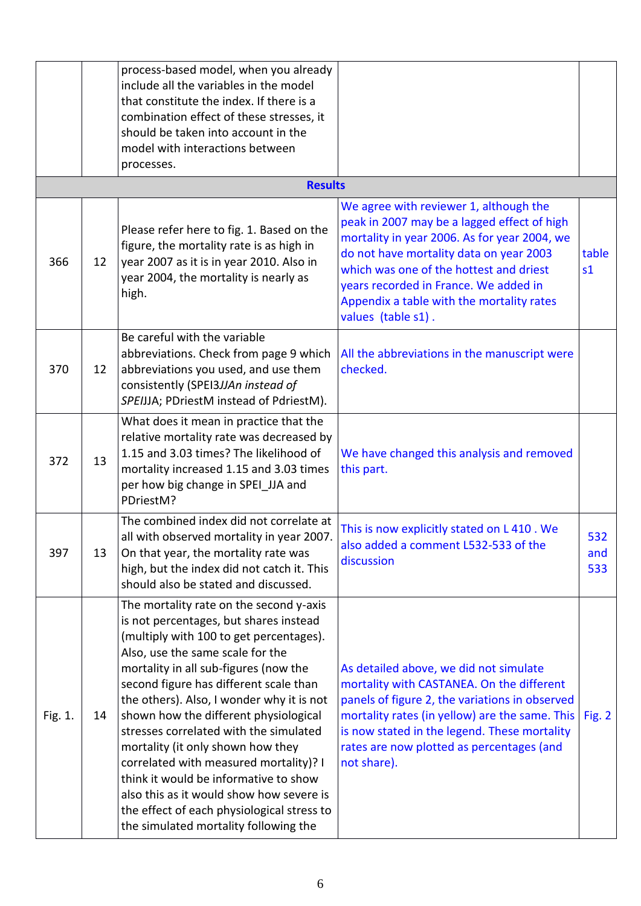|         |    | process-based model, when you already<br>include all the variables in the model<br>that constitute the index. If there is a<br>combination effect of these stresses, it<br>should be taken into account in the<br>model with interactions between<br>processes.                                                                                                                                                                                                                                                                                                                                                                                |                                                                                                                                                                                                                                                                                                                                         |                         |
|---------|----|------------------------------------------------------------------------------------------------------------------------------------------------------------------------------------------------------------------------------------------------------------------------------------------------------------------------------------------------------------------------------------------------------------------------------------------------------------------------------------------------------------------------------------------------------------------------------------------------------------------------------------------------|-----------------------------------------------------------------------------------------------------------------------------------------------------------------------------------------------------------------------------------------------------------------------------------------------------------------------------------------|-------------------------|
|         |    | <b>Results</b>                                                                                                                                                                                                                                                                                                                                                                                                                                                                                                                                                                                                                                 |                                                                                                                                                                                                                                                                                                                                         |                         |
| 366     | 12 | Please refer here to fig. 1. Based on the<br>figure, the mortality rate is as high in<br>year 2007 as it is in year 2010. Also in<br>year 2004, the mortality is nearly as<br>high.                                                                                                                                                                                                                                                                                                                                                                                                                                                            | We agree with reviewer 1, although the<br>peak in 2007 may be a lagged effect of high<br>mortality in year 2006. As for year 2004, we<br>do not have mortality data on year 2003<br>which was one of the hottest and driest<br>years recorded in France. We added in<br>Appendix a table with the mortality rates<br>values (table s1). | table<br>s <sub>1</sub> |
| 370     | 12 | Be careful with the variable<br>abbreviations. Check from page 9 which<br>abbreviations you used, and use them<br>consistently (SPEI3JJAn instead of<br>SPEIJJA; PDriestM instead of PdriestM).                                                                                                                                                                                                                                                                                                                                                                                                                                                | All the abbreviations in the manuscript were<br>checked.                                                                                                                                                                                                                                                                                |                         |
| 372     | 13 | What does it mean in practice that the<br>relative mortality rate was decreased by<br>1.15 and 3.03 times? The likelihood of<br>mortality increased 1.15 and 3.03 times<br>per how big change in SPEI_JJA and<br>PDriestM?                                                                                                                                                                                                                                                                                                                                                                                                                     | We have changed this analysis and removed<br>this part.                                                                                                                                                                                                                                                                                 |                         |
| 397     | 13 | The combined index did not correlate at<br>all with observed mortality in year 2007.<br>On that year, the mortality rate was<br>high, but the index did not catch it. This<br>should also be stated and discussed.                                                                                                                                                                                                                                                                                                                                                                                                                             | This is now explicitly stated on L 410. We<br>also added a comment L532-533 of the<br>discussion                                                                                                                                                                                                                                        | 532<br>and<br>533       |
| Fig. 1. | 14 | The mortality rate on the second y-axis<br>is not percentages, but shares instead<br>(multiply with 100 to get percentages).<br>Also, use the same scale for the<br>mortality in all sub-figures (now the<br>second figure has different scale than<br>the others). Also, I wonder why it is not<br>shown how the different physiological<br>stresses correlated with the simulated<br>mortality (it only shown how they<br>correlated with measured mortality)? I<br>think it would be informative to show<br>also this as it would show how severe is<br>the effect of each physiological stress to<br>the simulated mortality following the | As detailed above, we did not simulate<br>mortality with CASTANEA. On the different<br>panels of figure 2, the variations in observed<br>mortality rates (in yellow) are the same. This<br>is now stated in the legend. These mortality<br>rates are now plotted as percentages (and<br>not share).                                     | Fig. $2$                |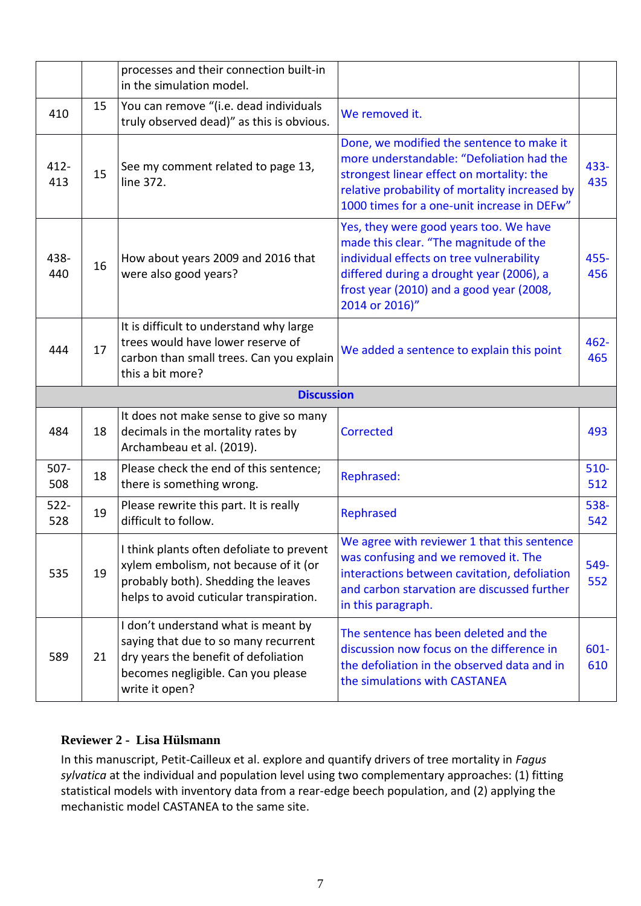|                   |    | processes and their connection built-in<br>in the simulation model.                                                                                                  |                                                                                                                                                                                                                                        |                |
|-------------------|----|----------------------------------------------------------------------------------------------------------------------------------------------------------------------|----------------------------------------------------------------------------------------------------------------------------------------------------------------------------------------------------------------------------------------|----------------|
| 410               | 15 | You can remove "(i.e. dead individuals<br>truly observed dead)" as this is obvious.                                                                                  | We removed it.                                                                                                                                                                                                                         |                |
| $412 -$<br>413    | 15 | See my comment related to page 13,<br>line 372.                                                                                                                      | Done, we modified the sentence to make it<br>more understandable: "Defoliation had the<br>strongest linear effect on mortality: the<br>relative probability of mortality increased by<br>1000 times for a one-unit increase in DEFw"   | 433-<br>435    |
| 438-<br>440       | 16 | How about years 2009 and 2016 that<br>were also good years?                                                                                                          | Yes, they were good years too. We have<br>made this clear. "The magnitude of the<br>individual effects on tree vulnerability<br>differed during a drought year (2006), a<br>frost year (2010) and a good year (2008,<br>2014 or 2016)" | $455 -$<br>456 |
| 444               | 17 | It is difficult to understand why large<br>trees would have lower reserve of<br>carbon than small trees. Can you explain<br>this a bit more?                         | We added a sentence to explain this point                                                                                                                                                                                              | $462 -$<br>465 |
| <b>Discussion</b> |    |                                                                                                                                                                      |                                                                                                                                                                                                                                        |                |
|                   |    |                                                                                                                                                                      |                                                                                                                                                                                                                                        |                |
| 484               | 18 | It does not make sense to give so many<br>decimals in the mortality rates by<br>Archambeau et al. (2019).                                                            | Corrected                                                                                                                                                                                                                              | 493            |
| $507 -$<br>508    | 18 | Please check the end of this sentence;<br>there is something wrong.                                                                                                  | Rephrased:                                                                                                                                                                                                                             | $510 -$<br>512 |
| $522 -$<br>528    | 19 | Please rewrite this part. It is really<br>difficult to follow.                                                                                                       | Rephrased                                                                                                                                                                                                                              | 538-<br>542    |
| 535               | 19 | I think plants often defoliate to prevent<br>xylem embolism, not because of it (or<br>probably both). Shedding the leaves<br>helps to avoid cuticular transpiration. | We agree with reviewer 1 that this sentence<br>was confusing and we removed it. The<br>interactions between cavitation, defoliation<br>and carbon starvation are discussed further<br>in this paragraph.                               | 549-<br>552    |

# **Reviewer 2 - Lisa Hülsmann**

In this manuscript, Petit-Cailleux et al. explore and quantify drivers of tree mortality in *Fagus sylvatica* at the individual and population level using two complementary approaches: (1) fitting statistical models with inventory data from a rear-edge beech population, and (2) applying the mechanistic model CASTANEA to the same site.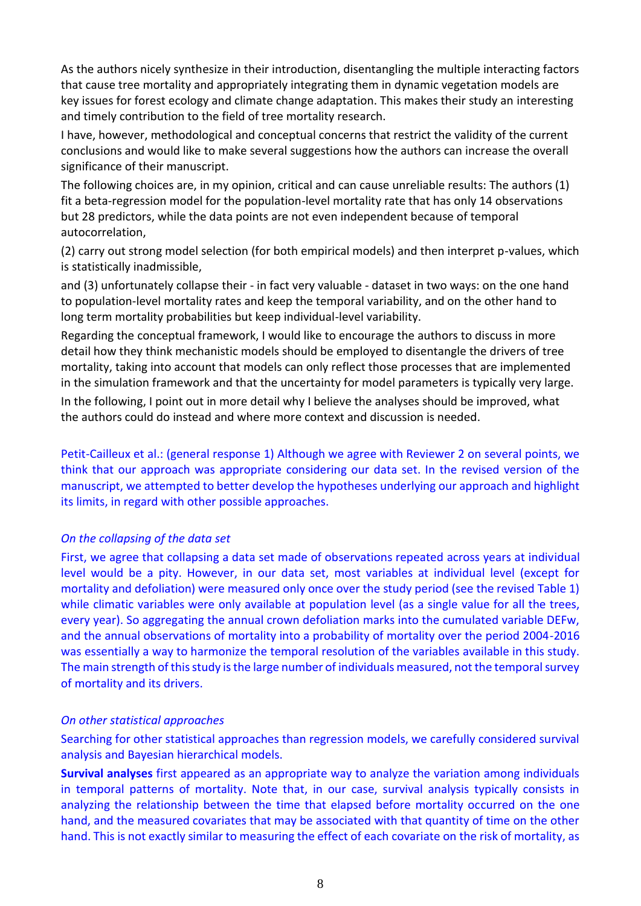As the authors nicely synthesize in their introduction, disentangling the multiple interacting factors that cause tree mortality and appropriately integrating them in dynamic vegetation models are key issues for forest ecology and climate change adaptation. This makes their study an interesting and timely contribution to the field of tree mortality research.

I have, however, methodological and conceptual concerns that restrict the validity of the current conclusions and would like to make several suggestions how the authors can increase the overall significance of their manuscript.

The following choices are, in my opinion, critical and can cause unreliable results: The authors (1) fit a beta-regression model for the population-level mortality rate that has only 14 observations but 28 predictors, while the data points are not even independent because of temporal autocorrelation,

(2) carry out strong model selection (for both empirical models) and then interpret p-values, which is statistically inadmissible,

and (3) unfortunately collapse their - in fact very valuable - dataset in two ways: on the one hand to population-level mortality rates and keep the temporal variability, and on the other hand to long term mortality probabilities but keep individual-level variability.

Regarding the conceptual framework, I would like to encourage the authors to discuss in more detail how they think mechanistic models should be employed to disentangle the drivers of tree mortality, taking into account that models can only reflect those processes that are implemented in the simulation framework and that the uncertainty for model parameters is typically very large.

In the following, I point out in more detail why I believe the analyses should be improved, what the authors could do instead and where more context and discussion is needed.

Petit-Cailleux et al.: (general response 1) Although we agree with Reviewer 2 on several points, we think that our approach was appropriate considering our data set. In the revised version of the manuscript, we attempted to better develop the hypotheses underlying our approach and highlight its limits, in regard with other possible approaches.

#### *On the collapsing of the data set*

First, we agree that collapsing a data set made of observations repeated across years at individual level would be a pity. However, in our data set, most variables at individual level (except for mortality and defoliation) were measured only once over the study period (see the revised Table 1) while climatic variables were only available at population level (as a single value for all the trees, every year). So aggregating the annual crown defoliation marks into the cumulated variable DEFw, and the annual observations of mortality into a probability of mortality over the period 2004-2016 was essentially a way to harmonize the temporal resolution of the variables available in this study. The main strength of this study is the large number of individuals measured, not the temporal survey of mortality and its drivers.

#### *On other statistical approaches*

Searching for other statistical approaches than regression models, we carefully considered survival analysis and Bayesian hierarchical models.

**Survival analyses** first appeared as an appropriate way to analyze the variation among individuals in temporal patterns of mortality. Note that, in our case, survival analysis typically consists in analyzing the relationship between the time that elapsed before mortality occurred on the one hand, and the measured covariates that may be associated with that quantity of time on the other hand. This is not exactly similar to measuring the effect of each covariate on the risk of mortality, as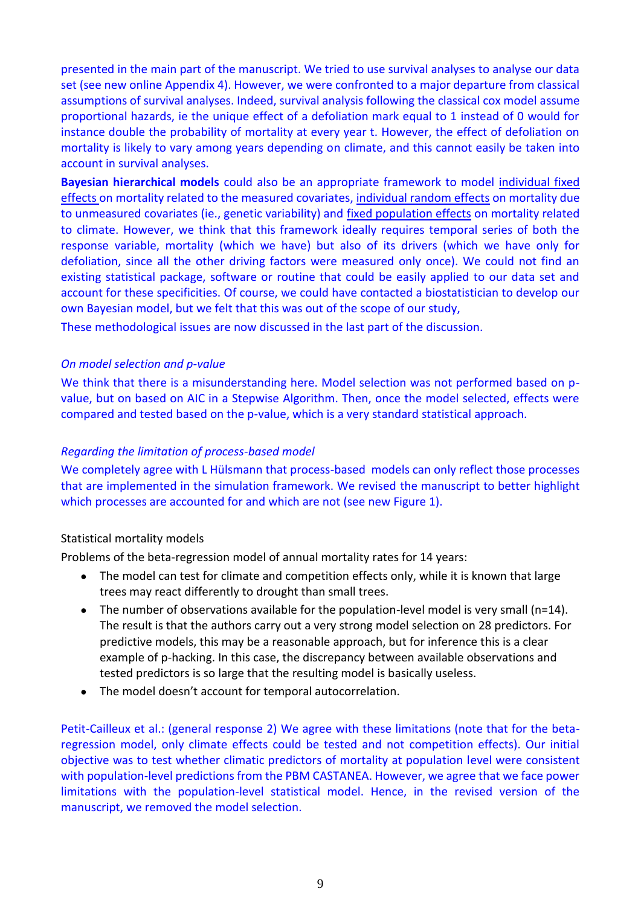presented in the main part of the manuscript. We tried to use survival analyses to analyse our data set (see new online Appendix 4). However, we were confronted to a major departure from classical assumptions of survival analyses. Indeed, survival analysis following the classical cox model assume proportional hazards, ie the unique effect of a defoliation mark equal to 1 instead of 0 would for instance double the probability of mortality at every year t. However, the effect of defoliation on mortality is likely to vary among years depending on climate, and this cannot easily be taken into account in survival analyses.

**Bayesian hierarchical models** could also be an appropriate framework to model individual fixed effects on mortality related to the measured covariates, individual random effects on mortality due to unmeasured covariates (ie., genetic variability) and fixed population effects on mortality related to climate. However, we think that this framework ideally requires temporal series of both the response variable, mortality (which we have) but also of its drivers (which we have only for defoliation, since all the other driving factors were measured only once). We could not find an existing statistical package, software or routine that could be easily applied to our data set and account for these specificities. Of course, we could have contacted a biostatistician to develop our own Bayesian model, but we felt that this was out of the scope of our study,

These methodological issues are now discussed in the last part of the discussion.

#### *On model selection and p-value*

We think that there is a misunderstanding here. Model selection was not performed based on pvalue, but on based on AIC in a Stepwise Algorithm. Then, once the model selected, effects were compared and tested based on the p-value, which is a very standard statistical approach.

#### *Regarding the limitation of process-based model*

We completely agree with L Hülsmann that process-based models can only reflect those processes that are implemented in the simulation framework. We revised the manuscript to better highlight which processes are accounted for and which are not (see new Figure 1).

#### Statistical mortality models

Problems of the beta-regression model of annual mortality rates for 14 years:

- The model can test for climate and competition effects only, while it is known that large trees may react differently to drought than small trees.
- The number of observations available for the population-level model is very small (n=14). The result is that the authors carry out a very strong model selection on 28 predictors. For predictive models, this may be a reasonable approach, but for inference this is a clear example of p-hacking. In this case, the discrepancy between available observations and tested predictors is so large that the resulting model is basically useless.
- The model doesn't account for temporal autocorrelation.

Petit-Cailleux et al.: (general response 2) We agree with these limitations (note that for the betaregression model, only climate effects could be tested and not competition effects). Our initial objective was to test whether climatic predictors of mortality at population level were consistent with population-level predictions from the PBM CASTANEA. However, we agree that we face power limitations with the population-level statistical model. Hence, in the revised version of the manuscript, we removed the model selection.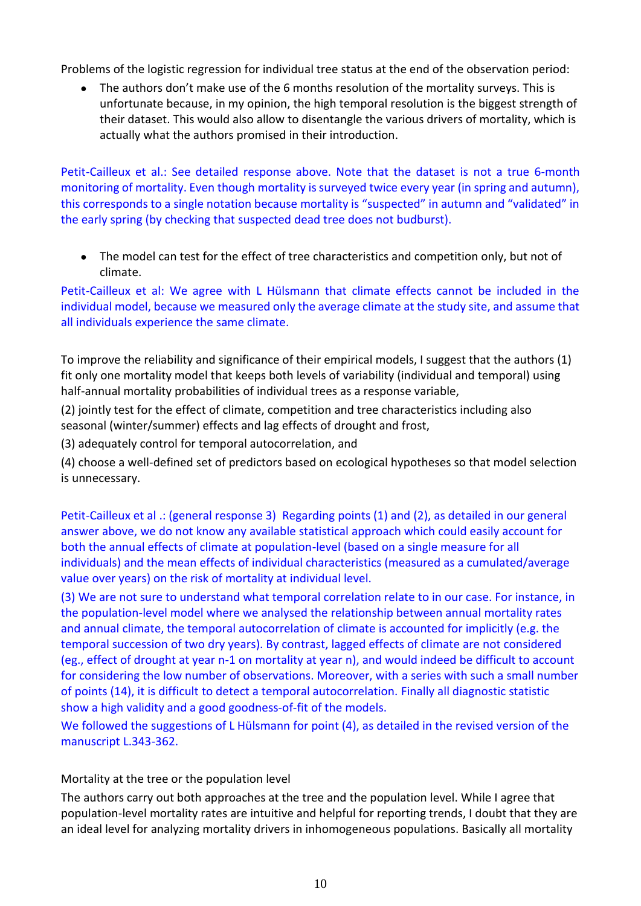Problems of the logistic regression for individual tree status at the end of the observation period:

● The authors don't make use of the 6 months resolution of the mortality surveys. This is unfortunate because, in my opinion, the high temporal resolution is the biggest strength of their dataset. This would also allow to disentangle the various drivers of mortality, which is actually what the authors promised in their introduction.

Petit-Cailleux et al.: See detailed response above. Note that the dataset is not a true 6-month monitoring of mortality. Even though mortality is surveyed twice every year (in spring and autumn), this corresponds to a single notation because mortality is "suspected" in autumn and "validated" in the early spring (by checking that suspected dead tree does not budburst).

• The model can test for the effect of tree characteristics and competition only, but not of climate.

Petit-Cailleux et al: We agree with L Hülsmann that climate effects cannot be included in the individual model, because we measured only the average climate at the study site, and assume that all individuals experience the same climate.

To improve the reliability and significance of their empirical models, I suggest that the authors (1) fit only one mortality model that keeps both levels of variability (individual and temporal) using half-annual mortality probabilities of individual trees as a response variable,

(2) jointly test for the effect of climate, competition and tree characteristics including also seasonal (winter/summer) effects and lag effects of drought and frost,

(3) adequately control for temporal autocorrelation, and

(4) choose a well-defined set of predictors based on ecological hypotheses so that model selection is unnecessary.

Petit-Cailleux et al .: (general response 3) Regarding points (1) and (2), as detailed in our general answer above, we do not know any available statistical approach which could easily account for both the annual effects of climate at population-level (based on a single measure for all individuals) and the mean effects of individual characteristics (measured as a cumulated/average value over years) on the risk of mortality at individual level.

(3) We are not sure to understand what temporal correlation relate to in our case. For instance, in the population-level model where we analysed the relationship between annual mortality rates and annual climate, the temporal autocorrelation of climate is accounted for implicitly (e.g. the temporal succession of two dry years). By contrast, lagged effects of climate are not considered (eg., effect of drought at year n-1 on mortality at year n), and would indeed be difficult to account for considering the low number of observations. Moreover, with a series with such a small number of points (14), it is difficult to detect a temporal autocorrelation. Finally all diagnostic statistic show a high validity and a good goodness-of-fit of the models.

We followed the suggestions of L Hülsmann for point (4), as detailed in the revised version of the manuscript L.343-362.

Mortality at the tree or the population level

The authors carry out both approaches at the tree and the population level. While I agree that population-level mortality rates are intuitive and helpful for reporting trends, I doubt that they are an ideal level for analyzing mortality drivers in inhomogeneous populations. Basically all mortality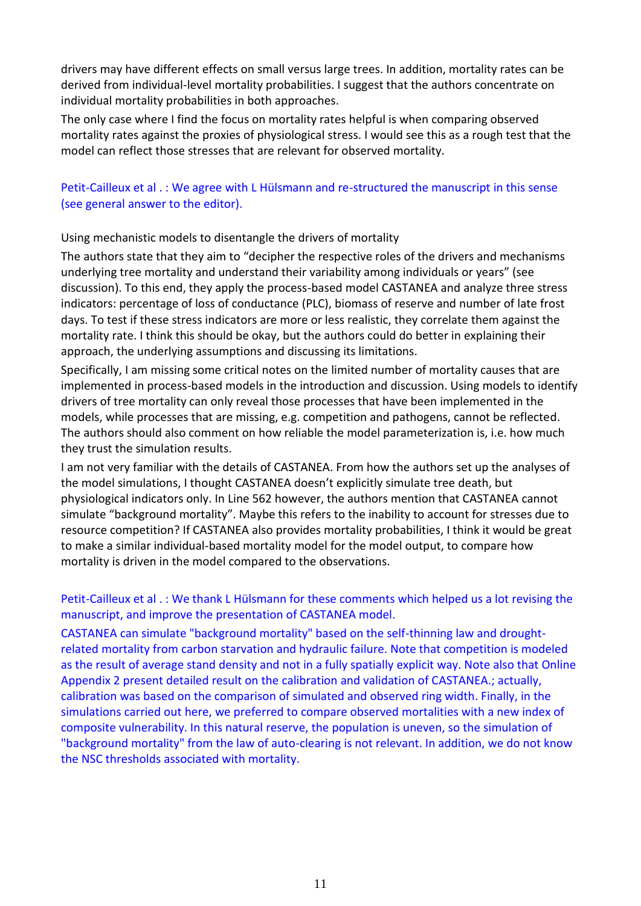drivers may have different effects on small versus large trees. In addition, mortality rates can be derived from individual-level mortality probabilities. I suggest that the authors concentrate on individual mortality probabilities in both approaches.

The only case where I find the focus on mortality rates helpful is when comparing observed mortality rates against the proxies of physiological stress. I would see this as a rough test that the model can reflect those stresses that are relevant for observed mortality.

# Petit-Cailleux et al . : We agree with L Hülsmann and re-structured the manuscript in this sense (see general answer to the editor).

# Using mechanistic models to disentangle the drivers of mortality

The authors state that they aim to "decipher the respective roles of the drivers and mechanisms underlying tree mortality and understand their variability among individuals or years" (see discussion). To this end, they apply the process-based model CASTANEA and analyze three stress indicators: percentage of loss of conductance (PLC), biomass of reserve and number of late frost days. To test if these stress indicators are more or less realistic, they correlate them against the mortality rate. I think this should be okay, but the authors could do better in explaining their approach, the underlying assumptions and discussing its limitations.

Specifically, I am missing some critical notes on the limited number of mortality causes that are implemented in process-based models in the introduction and discussion. Using models to identify drivers of tree mortality can only reveal those processes that have been implemented in the models, while processes that are missing, e.g. competition and pathogens, cannot be reflected. The authors should also comment on how reliable the model parameterization is, i.e. how much they trust the simulation results.

I am not very familiar with the details of CASTANEA. From how the authors set up the analyses of the model simulations, I thought CASTANEA doesn't explicitly simulate tree death, but physiological indicators only. In Line 562 however, the authors mention that CASTANEA cannot simulate "background mortality". Maybe this refers to the inability to account for stresses due to resource competition? If CASTANEA also provides mortality probabilities, I think it would be great to make a similar individual-based mortality model for the model output, to compare how mortality is driven in the model compared to the observations.

# Petit-Cailleux et al . : We thank L Hülsmann for these comments which helped us a lot revising the manuscript, and improve the presentation of CASTANEA model.

CASTANEA can simulate "background mortality" based on the self-thinning law and droughtrelated mortality from carbon starvation and hydraulic failure. Note that competition is modeled as the result of average stand density and not in a fully spatially explicit way. Note also that Online Appendix 2 present detailed result on the calibration and validation of CASTANEA.; actually, calibration was based on the comparison of simulated and observed ring width. Finally, in the simulations carried out here, we preferred to compare observed mortalities with a new index of composite vulnerability. In this natural reserve, the population is uneven, so the simulation of "background mortality" from the law of auto-clearing is not relevant. In addition, we do not know the NSC thresholds associated with mortality.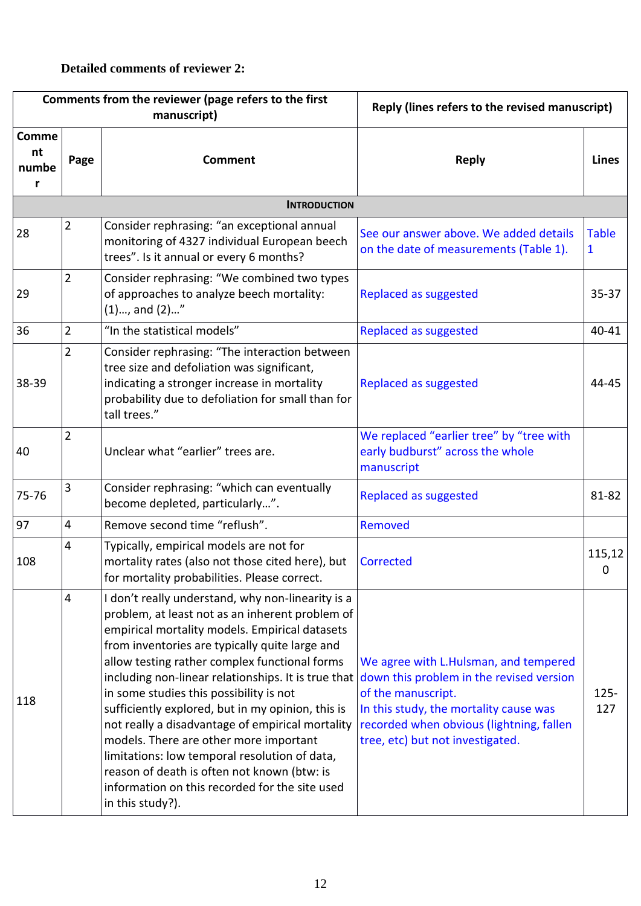# **Detailed comments of reviewer 2:**

| Comments from the reviewer (page refers to the first<br>manuscript) |                |                                                                                                                                                                                                                                                                                                                                                                                                                                                                                                                                                                                                                                                                                      | Reply (lines refers to the revised manuscript)                                                                                                                                                                                    |                   |
|---------------------------------------------------------------------|----------------|--------------------------------------------------------------------------------------------------------------------------------------------------------------------------------------------------------------------------------------------------------------------------------------------------------------------------------------------------------------------------------------------------------------------------------------------------------------------------------------------------------------------------------------------------------------------------------------------------------------------------------------------------------------------------------------|-----------------------------------------------------------------------------------------------------------------------------------------------------------------------------------------------------------------------------------|-------------------|
| <b>Comme</b><br>nt<br>numbe<br>r                                    | Page           | <b>Comment</b>                                                                                                                                                                                                                                                                                                                                                                                                                                                                                                                                                                                                                                                                       | <b>Reply</b>                                                                                                                                                                                                                      | <b>Lines</b>      |
|                                                                     |                | <b>INTRODUCTION</b>                                                                                                                                                                                                                                                                                                                                                                                                                                                                                                                                                                                                                                                                  |                                                                                                                                                                                                                                   |                   |
| 28                                                                  | $\overline{2}$ | Consider rephrasing: "an exceptional annual<br>monitoring of 4327 individual European beech<br>trees". Is it annual or every 6 months?                                                                                                                                                                                                                                                                                                                                                                                                                                                                                                                                               | See our answer above. We added details<br>on the date of measurements (Table 1).                                                                                                                                                  | <b>Table</b><br>1 |
| 29                                                                  | $\overline{2}$ | Consider rephrasing: "We combined two types<br>of approaches to analyze beech mortality:<br>$(1)$ , and $(2)"$                                                                                                                                                                                                                                                                                                                                                                                                                                                                                                                                                                       | Replaced as suggested                                                                                                                                                                                                             | $35 - 37$         |
| 36                                                                  | $\overline{2}$ | "In the statistical models"                                                                                                                                                                                                                                                                                                                                                                                                                                                                                                                                                                                                                                                          | Replaced as suggested                                                                                                                                                                                                             | 40-41             |
| 38-39                                                               | $\overline{2}$ | Consider rephrasing: "The interaction between<br>tree size and defoliation was significant,<br>indicating a stronger increase in mortality<br>probability due to defoliation for small than for<br>tall trees."                                                                                                                                                                                                                                                                                                                                                                                                                                                                      | Replaced as suggested                                                                                                                                                                                                             | 44-45             |
| 40                                                                  | $\overline{2}$ | Unclear what "earlier" trees are.                                                                                                                                                                                                                                                                                                                                                                                                                                                                                                                                                                                                                                                    | We replaced "earlier tree" by "tree with<br>early budburst" across the whole<br>manuscript                                                                                                                                        |                   |
| 75-76                                                               | $\overline{3}$ | Consider rephrasing: "which can eventually<br>become depleted, particularly".                                                                                                                                                                                                                                                                                                                                                                                                                                                                                                                                                                                                        | Replaced as suggested                                                                                                                                                                                                             | 81-82             |
| 97                                                                  | $\overline{4}$ | Remove second time "reflush".                                                                                                                                                                                                                                                                                                                                                                                                                                                                                                                                                                                                                                                        | Removed                                                                                                                                                                                                                           |                   |
| 108                                                                 | 4              | Typically, empirical models are not for<br>mortality rates (also not those cited here), but<br>for mortality probabilities. Please correct.                                                                                                                                                                                                                                                                                                                                                                                                                                                                                                                                          | Corrected                                                                                                                                                                                                                         | 115,12<br>0       |
| 118                                                                 | $\overline{4}$ | I don't really understand, why non-linearity is a<br>problem, at least not as an inherent problem of<br>empirical mortality models. Empirical datasets<br>from inventories are typically quite large and<br>allow testing rather complex functional forms<br>including non-linear relationships. It is true that<br>in some studies this possibility is not<br>sufficiently explored, but in my opinion, this is<br>not really a disadvantage of empirical mortality<br>models. There are other more important<br>limitations: low temporal resolution of data,<br>reason of death is often not known (btw: is<br>information on this recorded for the site used<br>in this study?). | We agree with L.Hulsman, and tempered<br>down this problem in the revised version<br>of the manuscript.<br>In this study, the mortality cause was<br>recorded when obvious (lightning, fallen<br>tree, etc) but not investigated. | $125 -$<br>127    |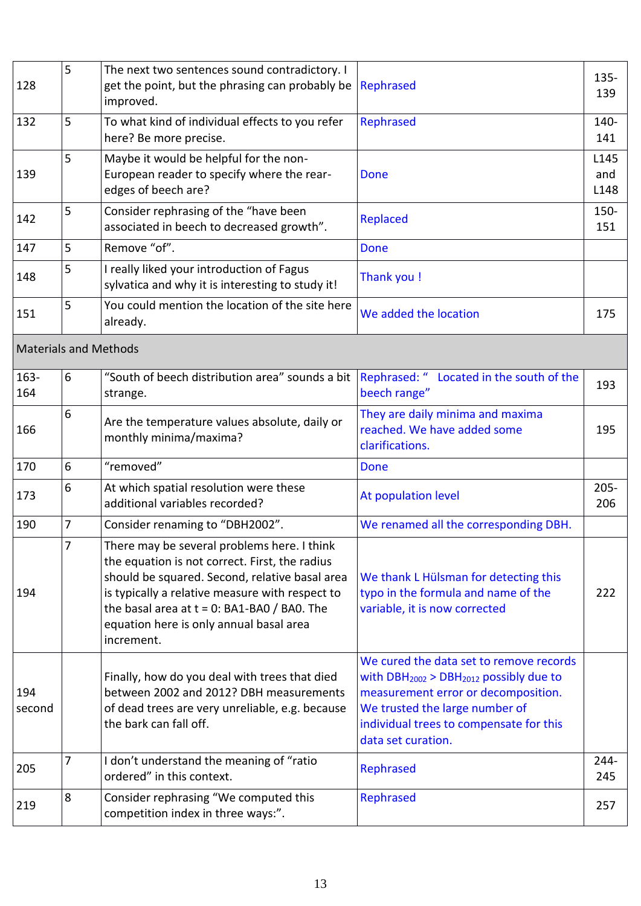| 128                          | 5              | The next two sentences sound contradictory. I<br>get the point, but the phrasing can probably be Rephrased<br>improved.                                                                                                                                                                                       |                                                                                                                                                                                                                               | 135-<br>139         |
|------------------------------|----------------|---------------------------------------------------------------------------------------------------------------------------------------------------------------------------------------------------------------------------------------------------------------------------------------------------------------|-------------------------------------------------------------------------------------------------------------------------------------------------------------------------------------------------------------------------------|---------------------|
| 132                          | 5              | To what kind of individual effects to you refer<br>here? Be more precise.                                                                                                                                                                                                                                     | Rephrased                                                                                                                                                                                                                     | 140-<br>141         |
| 139                          | 5              | Maybe it would be helpful for the non-<br>European reader to specify where the rear-<br>edges of beech are?                                                                                                                                                                                                   | Done                                                                                                                                                                                                                          | L145<br>and<br>L148 |
| 142                          | 5              | Consider rephrasing of the "have been<br>associated in beech to decreased growth".                                                                                                                                                                                                                            | <b>Replaced</b>                                                                                                                                                                                                               | 150-<br>151         |
| 147                          | 5              | Remove "of".                                                                                                                                                                                                                                                                                                  | Done                                                                                                                                                                                                                          |                     |
| 148                          | 5              | I really liked your introduction of Fagus<br>sylvatica and why it is interesting to study it!                                                                                                                                                                                                                 | Thank you !                                                                                                                                                                                                                   |                     |
| 151                          | 5              | You could mention the location of the site here<br>already.                                                                                                                                                                                                                                                   | We added the location                                                                                                                                                                                                         | 175                 |
| <b>Materials and Methods</b> |                |                                                                                                                                                                                                                                                                                                               |                                                                                                                                                                                                                               |                     |
| $163 -$<br>164               | 6              | "South of beech distribution area" sounds a bit   Rephrased: " Located in the south of the<br>strange.                                                                                                                                                                                                        | beech range"                                                                                                                                                                                                                  | 193                 |
| 166                          | 6              | Are the temperature values absolute, daily or<br>monthly minima/maxima?                                                                                                                                                                                                                                       | They are daily minima and maxima<br>reached. We have added some<br>clarifications.                                                                                                                                            | 195                 |
| 170                          | 6              | "removed"                                                                                                                                                                                                                                                                                                     | Done                                                                                                                                                                                                                          |                     |
| 173                          | 6              | At which spatial resolution were these<br>additional variables recorded?                                                                                                                                                                                                                                      | At population level                                                                                                                                                                                                           | $205 -$<br>206      |
| 190                          | $\overline{7}$ | Consider renaming to "DBH2002".                                                                                                                                                                                                                                                                               | We renamed all the corresponding DBH.                                                                                                                                                                                         |                     |
| 194                          |                | There may be several problems here. I think<br>the equation is not correct. First, the radius<br>should be squared. Second, relative basal area<br>is typically a relative measure with respect to<br>the basal area at $t = 0$ : BA1-BA0 / BA0. The<br>equation here is only annual basal area<br>increment. | We thank L Hülsman for detecting this<br>typo in the formula and name of the<br>variable, it is now corrected                                                                                                                 | 222                 |
| 194<br>second                |                | Finally, how do you deal with trees that died<br>between 2002 and 2012? DBH measurements<br>of dead trees are very unreliable, e.g. because<br>the bark can fall off.                                                                                                                                         | We cured the data set to remove records<br>with $DBH2002 > DBH2012$ possibly due to<br>measurement error or decomposition.<br>We trusted the large number of<br>individual trees to compensate for this<br>data set curation. |                     |
| 205                          | 7              | I don't understand the meaning of "ratio<br>ordered" in this context.                                                                                                                                                                                                                                         | Rephrased                                                                                                                                                                                                                     | $244 -$<br>245      |
| 219                          | 8              | Consider rephrasing "We computed this<br>competition index in three ways:".                                                                                                                                                                                                                                   | Rephrased                                                                                                                                                                                                                     | 257                 |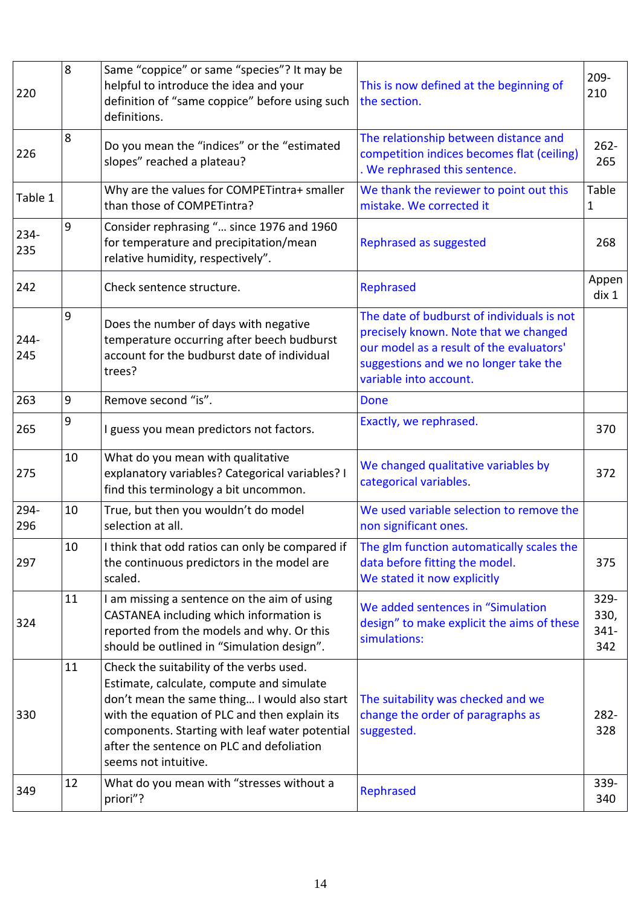| 220            | 8  | Same "coppice" or same "species"? It may be<br>helpful to introduce the idea and your<br>definition of "same coppice" before using such<br>definitions.                                                                                                                                                       | This is now defined at the beginning of<br>the section.                                                                                                                                            | $209 -$<br>210                 |
|----------------|----|---------------------------------------------------------------------------------------------------------------------------------------------------------------------------------------------------------------------------------------------------------------------------------------------------------------|----------------------------------------------------------------------------------------------------------------------------------------------------------------------------------------------------|--------------------------------|
| 226            | 8  | Do you mean the "indices" or the "estimated<br>slopes" reached a plateau?                                                                                                                                                                                                                                     | The relationship between distance and<br>competition indices becomes flat (ceiling)<br>. We rephrased this sentence.                                                                               | $262 -$<br>265                 |
| Table 1        |    | Why are the values for COMPETintra+ smaller<br>than those of COMPETintra?                                                                                                                                                                                                                                     | We thank the reviewer to point out this<br>mistake. We corrected it                                                                                                                                | Table<br>1                     |
| 234-<br>235    | 9  | Consider rephrasing " since 1976 and 1960<br>for temperature and precipitation/mean<br>relative humidity, respectively".                                                                                                                                                                                      | Rephrased as suggested                                                                                                                                                                             | 268                            |
| 242            |    | Check sentence structure.                                                                                                                                                                                                                                                                                     | Rephrased                                                                                                                                                                                          | Appen<br>div 1                 |
| $244 -$<br>245 | 9  | Does the number of days with negative<br>temperature occurring after beech budburst<br>account for the budburst date of individual<br>trees?                                                                                                                                                                  | The date of budburst of individuals is not<br>precisely known. Note that we changed<br>our model as a result of the evaluators'<br>suggestions and we no longer take the<br>variable into account. |                                |
| 263            | 9  | Remove second "is".                                                                                                                                                                                                                                                                                           | <b>Done</b>                                                                                                                                                                                        |                                |
| 265            | 9  | I guess you mean predictors not factors.                                                                                                                                                                                                                                                                      | Exactly, we rephrased.                                                                                                                                                                             | 370                            |
| 275            | 10 | What do you mean with qualitative<br>explanatory variables? Categorical variables? I<br>find this terminology a bit uncommon.                                                                                                                                                                                 | We changed qualitative variables by<br>categorical variables.                                                                                                                                      | 372                            |
| 294-<br>296    | 10 | True, but then you wouldn't do model<br>selection at all.                                                                                                                                                                                                                                                     | We used variable selection to remove the<br>non significant ones.                                                                                                                                  |                                |
| 297            | 10 | I think that odd ratios can only be compared if<br>the continuous predictors in the model are<br>scaled.                                                                                                                                                                                                      | The glm function automatically scales the<br>data before fitting the model.<br>We stated it now explicitly                                                                                         | 375                            |
| 324            | 11 | I am missing a sentence on the aim of using<br>CASTANEA including which information is<br>reported from the models and why. Or this<br>should be outlined in "Simulation design".                                                                                                                             | We added sentences in "Simulation<br>design" to make explicit the aims of these<br>simulations:                                                                                                    | 329-<br>330,<br>$341 -$<br>342 |
| 330            | 11 | Check the suitability of the verbs used.<br>Estimate, calculate, compute and simulate<br>don't mean the same thing I would also start<br>with the equation of PLC and then explain its<br>components. Starting with leaf water potential<br>after the sentence on PLC and defoliation<br>seems not intuitive. | The suitability was checked and we<br>change the order of paragraphs as<br>suggested.                                                                                                              | 282-<br>328                    |
| 349            | 12 | What do you mean with "stresses without a<br>priori"?                                                                                                                                                                                                                                                         | Rephrased                                                                                                                                                                                          | 339-<br>340                    |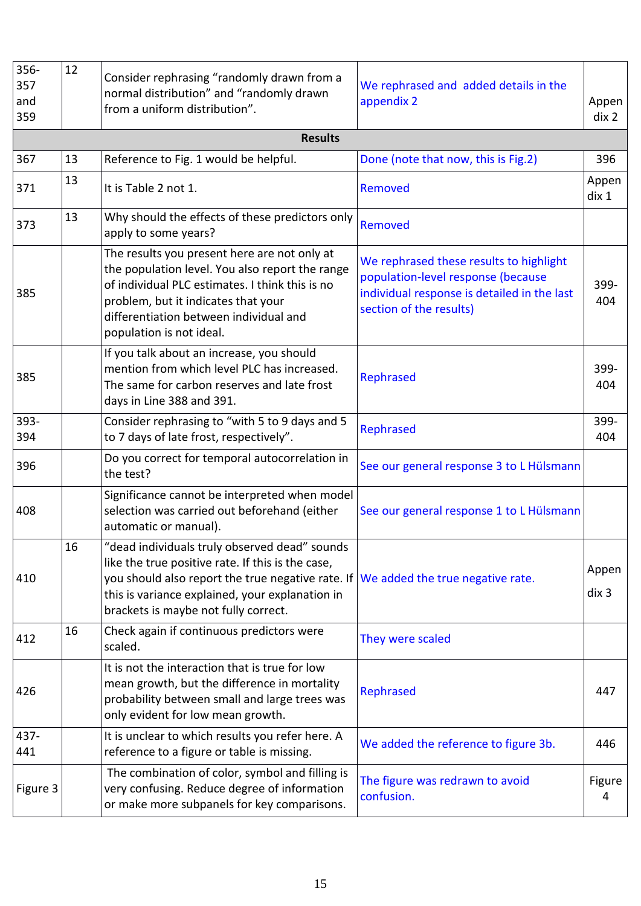| 356-<br>357<br>and<br>359 | 12 | Consider rephrasing "randomly drawn from a<br>normal distribution" and "randomly drawn<br>from a uniform distribution".                                                                                                                                                             | We rephrased and added details in the<br>appendix 2                                                                                                     | Appen<br>div 2 |
|---------------------------|----|-------------------------------------------------------------------------------------------------------------------------------------------------------------------------------------------------------------------------------------------------------------------------------------|---------------------------------------------------------------------------------------------------------------------------------------------------------|----------------|
|                           |    | <b>Results</b>                                                                                                                                                                                                                                                                      |                                                                                                                                                         |                |
| 367                       | 13 | Reference to Fig. 1 would be helpful.                                                                                                                                                                                                                                               | Done (note that now, this is Fig.2)                                                                                                                     | 396            |
| 371                       | 13 | It is Table 2 not 1.                                                                                                                                                                                                                                                                | Removed                                                                                                                                                 | Appen<br>dix 1 |
| 373                       | 13 | Why should the effects of these predictors only<br>apply to some years?                                                                                                                                                                                                             | Removed                                                                                                                                                 |                |
| 385                       |    | The results you present here are not only at<br>the population level. You also report the range<br>of individual PLC estimates. I think this is no<br>problem, but it indicates that your<br>differentiation between individual and<br>population is not ideal.                     | We rephrased these results to highlight<br>population-level response (because<br>individual response is detailed in the last<br>section of the results) | 399-<br>404    |
| 385                       |    | If you talk about an increase, you should<br>mention from which level PLC has increased.<br>The same for carbon reserves and late frost<br>days in Line 388 and 391.                                                                                                                | Rephrased                                                                                                                                               | 399-<br>404    |
| 393-<br>394               |    | Consider rephrasing to "with 5 to 9 days and 5<br>to 7 days of late frost, respectively".                                                                                                                                                                                           | Rephrased                                                                                                                                               | 399-<br>404    |
| 396                       |    | Do you correct for temporal autocorrelation in<br>the test?                                                                                                                                                                                                                         | See our general response 3 to L Hülsmann                                                                                                                |                |
| 408                       |    | Significance cannot be interpreted when model<br>selection was carried out beforehand (either<br>automatic or manual).                                                                                                                                                              | See our general response 1 to L Hülsmann                                                                                                                |                |
| 410                       | 16 | "dead individuals truly observed dead" sounds<br>like the true positive rate. If this is the case,<br>you should also report the true negative rate. If We added the true negative rate.<br>this is variance explained, your explanation in<br>brackets is maybe not fully correct. |                                                                                                                                                         | Appen<br>div 3 |
| 412                       | 16 | Check again if continuous predictors were<br>scaled.                                                                                                                                                                                                                                | They were scaled                                                                                                                                        |                |
| 426                       |    | It is not the interaction that is true for low<br>mean growth, but the difference in mortality<br>probability between small and large trees was<br>only evident for low mean growth.                                                                                                | Rephrased                                                                                                                                               | 447            |
| 437-<br>441               |    | It is unclear to which results you refer here. A<br>reference to a figure or table is missing.                                                                                                                                                                                      | We added the reference to figure 3b.                                                                                                                    | 446            |
| Figure 3                  |    | The combination of color, symbol and filling is<br>very confusing. Reduce degree of information<br>or make more subpanels for key comparisons.                                                                                                                                      | The figure was redrawn to avoid<br>confusion.                                                                                                           | Figure<br>4    |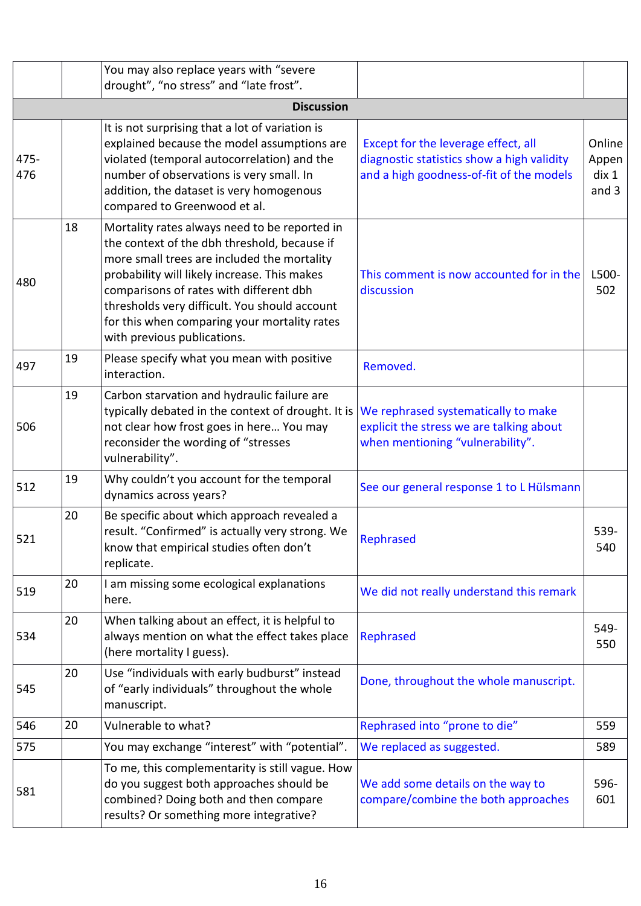|             |    | You may also replace years with "severe<br>drought", "no stress" and "late frost".                                                                                                                                                                                                                                                                                      |                                                                                                                               |                                   |
|-------------|----|-------------------------------------------------------------------------------------------------------------------------------------------------------------------------------------------------------------------------------------------------------------------------------------------------------------------------------------------------------------------------|-------------------------------------------------------------------------------------------------------------------------------|-----------------------------------|
|             |    | <b>Discussion</b>                                                                                                                                                                                                                                                                                                                                                       |                                                                                                                               |                                   |
| 475-<br>476 |    | It is not surprising that a lot of variation is<br>explained because the model assumptions are<br>violated (temporal autocorrelation) and the<br>number of observations is very small. In<br>addition, the dataset is very homogenous<br>compared to Greenwood et al.                                                                                                   | Except for the leverage effect, all<br>diagnostic statistics show a high validity<br>and a high goodness-of-fit of the models | Online<br>Appen<br>dix 1<br>and 3 |
| 480         | 18 | Mortality rates always need to be reported in<br>the context of the dbh threshold, because if<br>more small trees are included the mortality<br>probability will likely increase. This makes<br>comparisons of rates with different dbh<br>thresholds very difficult. You should account<br>for this when comparing your mortality rates<br>with previous publications. | This comment is now accounted for in the<br>discussion                                                                        | L500-<br>502                      |
| 497         | 19 | Please specify what you mean with positive<br>interaction.                                                                                                                                                                                                                                                                                                              | Removed.                                                                                                                      |                                   |
| 506         | 19 | Carbon starvation and hydraulic failure are<br>typically debated in the context of drought. It is<br>not clear how frost goes in here You may<br>reconsider the wording of "stresses<br>vulnerability".                                                                                                                                                                 | We rephrased systematically to make<br>explicit the stress we are talking about<br>when mentioning "vulnerability".           |                                   |
| 512         | 19 | Why couldn't you account for the temporal<br>dynamics across years?                                                                                                                                                                                                                                                                                                     | See our general response 1 to L Hülsmann                                                                                      |                                   |
| 521         | 20 | Be specific about which approach revealed a<br>result. "Confirmed" is actually very strong. We<br>know that empirical studies often don't<br>replicate.                                                                                                                                                                                                                 | Rephrased                                                                                                                     | 539-<br>540                       |
| 519         | 20 | I am missing some ecological explanations<br>here.                                                                                                                                                                                                                                                                                                                      | We did not really understand this remark                                                                                      |                                   |
| 534         | 20 | When talking about an effect, it is helpful to<br>always mention on what the effect takes place<br>(here mortality I guess).                                                                                                                                                                                                                                            | Rephrased                                                                                                                     | 549-<br>550                       |
| 545         | 20 | Use "individuals with early budburst" instead<br>of "early individuals" throughout the whole<br>manuscript.                                                                                                                                                                                                                                                             | Done, throughout the whole manuscript.                                                                                        |                                   |
| 546         | 20 | Vulnerable to what?                                                                                                                                                                                                                                                                                                                                                     | Rephrased into "prone to die"                                                                                                 | 559                               |
| 575         |    | You may exchange "interest" with "potential".                                                                                                                                                                                                                                                                                                                           | We replaced as suggested.                                                                                                     | 589                               |
| 581         |    | To me, this complementarity is still vague. How<br>do you suggest both approaches should be<br>combined? Doing both and then compare<br>results? Or something more integrative?                                                                                                                                                                                         | We add some details on the way to<br>compare/combine the both approaches                                                      | 596-<br>601                       |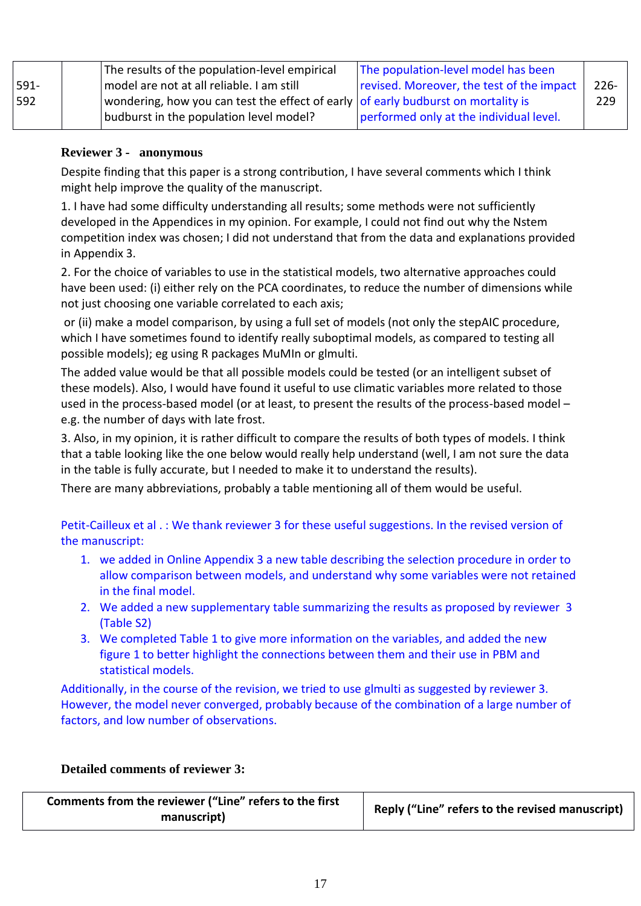|         | The results of the population-level empirical                                             | The population-level model has been       |         |
|---------|-------------------------------------------------------------------------------------------|-------------------------------------------|---------|
| $591 -$ | model are not at all reliable. I am still                                                 | revised. Moreover, the test of the impact | $226 -$ |
| 592     | wondering, how you can test the effect of early $\vert$ of early budburst on mortality is |                                           | 229     |
|         | budburst in the population level model?                                                   | performed only at the individual level.   |         |

#### **Reviewer 3 - anonymous**

Despite finding that this paper is a strong contribution, I have several comments which I think might help improve the quality of the manuscript.

1. I have had some difficulty understanding all results; some methods were not sufficiently developed in the Appendices in my opinion. For example, I could not find out why the Nstem competition index was chosen; I did not understand that from the data and explanations provided in Appendix 3.

2. For the choice of variables to use in the statistical models, two alternative approaches could have been used: (i) either rely on the PCA coordinates, to reduce the number of dimensions while not just choosing one variable correlated to each axis;

or (ii) make a model comparison, by using a full set of models (not only the stepAIC procedure, which I have sometimes found to identify really suboptimal models, as compared to testing all possible models); eg using R packages MuMIn or glmulti.

The added value would be that all possible models could be tested (or an intelligent subset of these models). Also, I would have found it useful to use climatic variables more related to those used in the process-based model (or at least, to present the results of the process-based model – e.g. the number of days with late frost.

3. Also, in my opinion, it is rather difficult to compare the results of both types of models. I think that a table looking like the one below would really help understand (well, I am not sure the data in the table is fully accurate, but I needed to make it to understand the results).

There are many abbreviations, probably a table mentioning all of them would be useful.

Petit-Cailleux et al . : We thank reviewer 3 for these useful suggestions. In the revised version of the manuscript:

- 1. we added in Online Appendix 3 a new table describing the selection procedure in order to allow comparison between models, and understand why some variables were not retained in the final model.
- 2. We added a new supplementary table summarizing the results as proposed by reviewer 3 (Table S2)
- 3. We completed Table 1 to give more information on the variables, and added the new figure 1 to better highlight the connections between them and their use in PBM and statistical models.

Additionally, in the course of the revision, we tried to use glmulti as suggested by reviewer 3. However, the model never converged, probably because of the combination of a large number of factors, and low number of observations.

# **Detailed comments of reviewer 3:**

| Comments from the reviewer ("Line" refers to the first<br>manuscript) | Reply ("Line" refers to the revised manuscript) |
|-----------------------------------------------------------------------|-------------------------------------------------|
|-----------------------------------------------------------------------|-------------------------------------------------|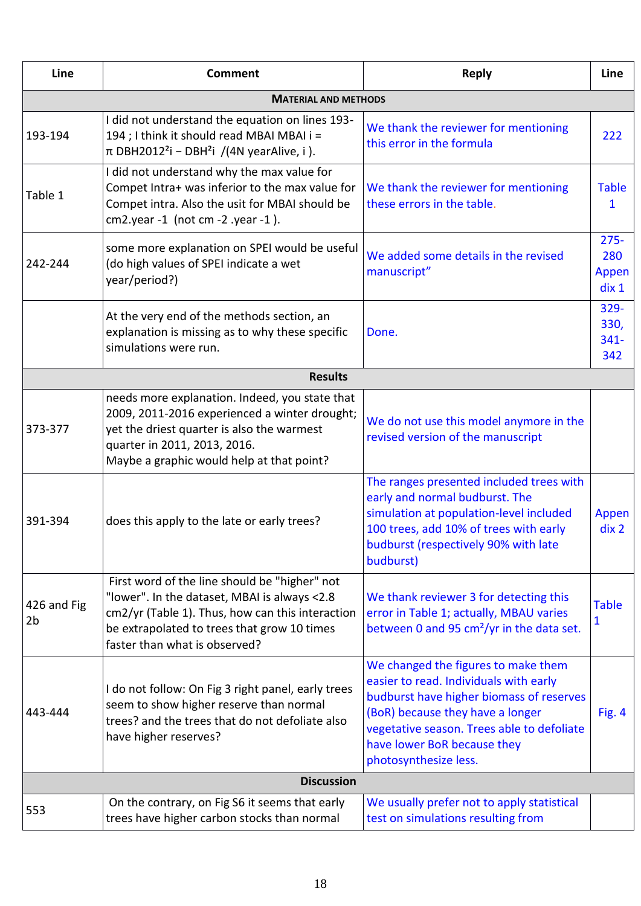| Line                          | <b>Comment</b>                                                                                                                                                                                                                    | <b>Reply</b>                                                                                                                                                                                                                                                        | Line                             |  |  |  |
|-------------------------------|-----------------------------------------------------------------------------------------------------------------------------------------------------------------------------------------------------------------------------------|---------------------------------------------------------------------------------------------------------------------------------------------------------------------------------------------------------------------------------------------------------------------|----------------------------------|--|--|--|
| <b>MATERIAL AND METHODS</b>   |                                                                                                                                                                                                                                   |                                                                                                                                                                                                                                                                     |                                  |  |  |  |
| 193-194                       | I did not understand the equation on lines 193-<br>194 ; I think it should read MBAI MBAI i =<br>$\pi$ DBH2012 <sup>2</sup> i – DBH <sup>2</sup> i /(4N yearAlive, i).                                                            | We thank the reviewer for mentioning<br>this error in the formula                                                                                                                                                                                                   | 222                              |  |  |  |
| Table 1                       | I did not understand why the max value for<br>Compet Intra+ was inferior to the max value for<br>Compet intra. Also the usit for MBAI should be<br>$cm2.year -1$ (not cm $-2.year -1$ ).                                          | We thank the reviewer for mentioning<br>these errors in the table.                                                                                                                                                                                                  | <b>Table</b><br>1                |  |  |  |
| 242-244                       | some more explanation on SPEI would be useful<br>(do high values of SPEI indicate a wet<br>year/period?)                                                                                                                          | We added some details in the revised<br>manuscript"                                                                                                                                                                                                                 | $275 -$<br>280<br>Appen<br>div 1 |  |  |  |
|                               | At the very end of the methods section, an<br>explanation is missing as to why these specific<br>simulations were run.                                                                                                            | Done.                                                                                                                                                                                                                                                               | 329-<br>330,<br>$341 -$<br>342   |  |  |  |
|                               | <b>Results</b>                                                                                                                                                                                                                    |                                                                                                                                                                                                                                                                     |                                  |  |  |  |
| 373-377                       | needs more explanation. Indeed, you state that<br>2009, 2011-2016 experienced a winter drought;<br>yet the driest quarter is also the warmest<br>quarter in 2011, 2013, 2016.<br>Maybe a graphic would help at that point?        | We do not use this model anymore in the<br>revised version of the manuscript                                                                                                                                                                                        |                                  |  |  |  |
| 391-394                       | does this apply to the late or early trees?                                                                                                                                                                                       | The ranges presented included trees with<br>early and normal budburst. The<br>simulation at population-level included<br>100 trees, add 10% of trees with early<br>budburst (respectively 90% with late<br>budburst)                                                | Appen<br>div 2                   |  |  |  |
| 426 and Fig<br>2 <sub>b</sub> | First word of the line should be "higher" not<br>"lower". In the dataset, MBAI is always <2.8<br>cm2/yr (Table 1). Thus, how can this interaction<br>be extrapolated to trees that grow 10 times<br>faster than what is observed? | We thank reviewer 3 for detecting this<br>error in Table 1; actually, MBAU varies<br>between 0 and 95 cm <sup>2</sup> /yr in the data set.                                                                                                                          | <b>Table</b><br>1                |  |  |  |
| 443-444                       | I do not follow: On Fig 3 right panel, early trees<br>seem to show higher reserve than normal<br>trees? and the trees that do not defoliate also<br>have higher reserves?                                                         | We changed the figures to make them<br>easier to read. Individuals with early<br>budburst have higher biomass of reserves<br>(BoR) because they have a longer<br>vegetative season. Trees able to defoliate<br>have lower BoR because they<br>photosynthesize less. | Fig. 4                           |  |  |  |
|                               | <b>Discussion</b>                                                                                                                                                                                                                 |                                                                                                                                                                                                                                                                     |                                  |  |  |  |
| 553                           | On the contrary, on Fig S6 it seems that early<br>trees have higher carbon stocks than normal                                                                                                                                     | We usually prefer not to apply statistical<br>test on simulations resulting from                                                                                                                                                                                    |                                  |  |  |  |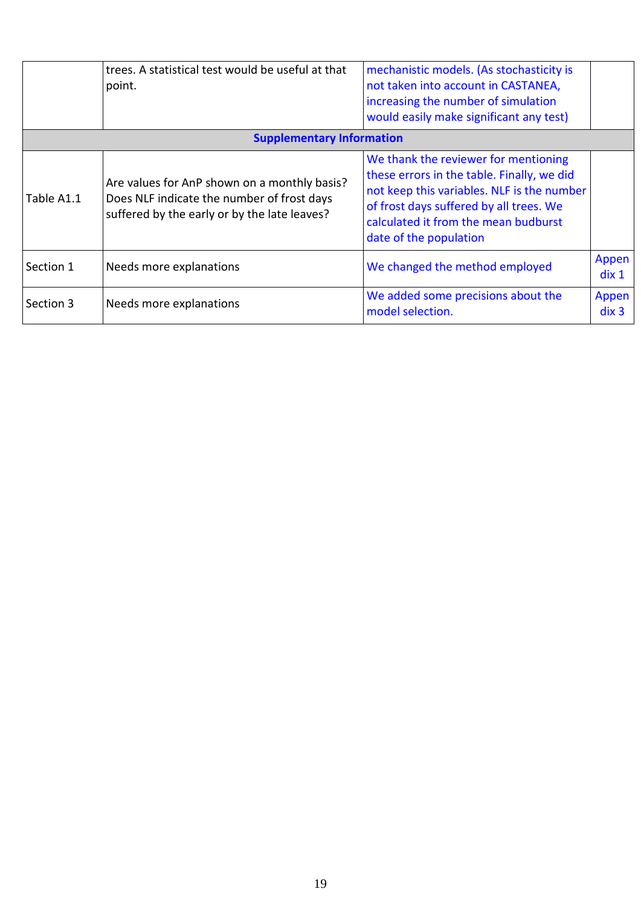|                                  | trees. A statistical test would be useful at that<br>point.                                                                                | mechanistic models. (As stochasticity is<br>not taken into account in CASTANEA,<br>increasing the number of simulation<br>would easily make significant any test)                                                                             |                           |
|----------------------------------|--------------------------------------------------------------------------------------------------------------------------------------------|-----------------------------------------------------------------------------------------------------------------------------------------------------------------------------------------------------------------------------------------------|---------------------------|
| <b>Supplementary Information</b> |                                                                                                                                            |                                                                                                                                                                                                                                               |                           |
| Table A1.1                       | Are values for AnP shown on a monthly basis?<br>Does NLF indicate the number of frost days<br>suffered by the early or by the late leaves? | We thank the reviewer for mentioning<br>these errors in the table. Finally, we did<br>not keep this variables. NLF is the number<br>of frost days suffered by all trees. We<br>calculated it from the mean budburst<br>date of the population |                           |
| Section 1                        | Needs more explanations                                                                                                                    | We changed the method employed                                                                                                                                                                                                                | Appen<br>$\frac{d}{dx}$ 1 |
| Section 3                        | Needs more explanations                                                                                                                    | We added some precisions about the<br>model selection.                                                                                                                                                                                        | Appen<br>div 3            |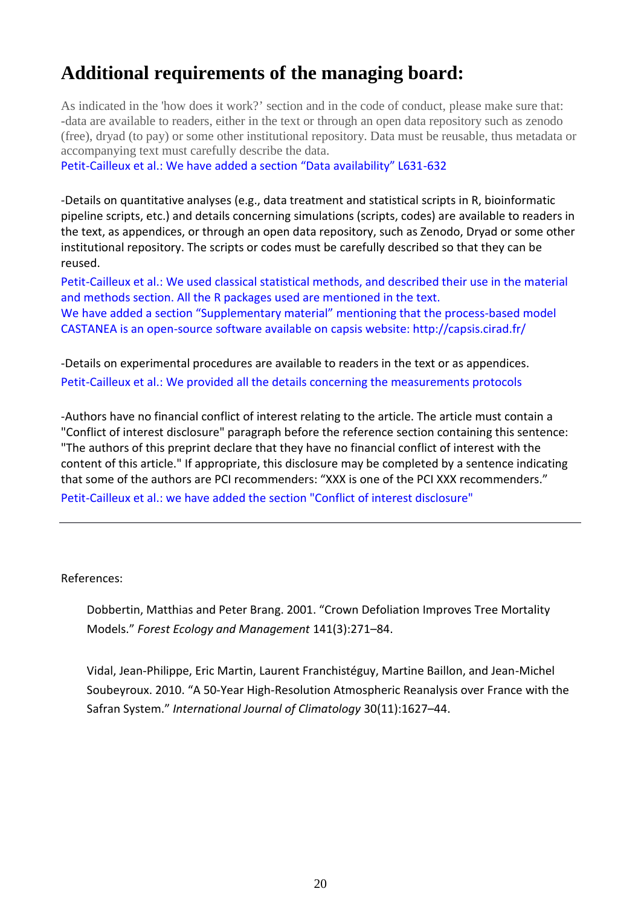# **Additional requirements of the managing board:**

As indicated in the 'how does it work?' section and in the code of conduct, please make sure that: -data are available to readers, either in the text or through an open data repository such as zenodo (free), dryad (to pay) or some other institutional repository. Data must be reusable, thus metadata or accompanying text must carefully describe the data.

Petit-Cailleux et al.: We have added a section "Data availability" L631-632

-Details on quantitative analyses (e.g., data treatment and statistical scripts in R, bioinformatic pipeline scripts, etc.) and details concerning simulations (scripts, codes) are available to readers in the text, as appendices, or through an open data repository, such as Zenodo, Dryad or some other institutional repository. The scripts or codes must be carefully described so that they can be reused.

Petit-Cailleux et al.: We used classical statistical methods, and described their use in the material and methods section. All the R packages used are mentioned in the text.

We have added a section "Supplementary material" mentioning that the process-based model CASTANEA is an open-source software available on capsis website: http://capsis.cirad.fr/

-Details on experimental procedures are available to readers in the text or as appendices. Petit-Cailleux et al.: We provided all the details concerning the measurements protocols

-Authors have no financial conflict of interest relating to the article. The article must contain a "Conflict of interest disclosure" paragraph before the reference section containing this sentence: "The authors of this preprint declare that they have no financial conflict of interest with the content of this article." If appropriate, this disclosure may be completed by a sentence indicating that some of the authors are PCI recommenders: "XXX is one of the PCI XXX recommenders." Petit-Cailleux et al.: we have added the section "Conflict of interest disclosure"

References:

Dobbertin, Matthias and Peter Brang. 2001. "Crown Defoliation Improves Tree Mortality Models." *Forest Ecology and Management* 141(3):271–84.

Vidal, Jean-Philippe, Eric Martin, Laurent Franchistéguy, Martine Baillon, and Jean-Michel Soubeyroux. 2010. "A 50-Year High-Resolution Atmospheric Reanalysis over France with the Safran System." *International Journal of Climatology* 30(11):1627–44.